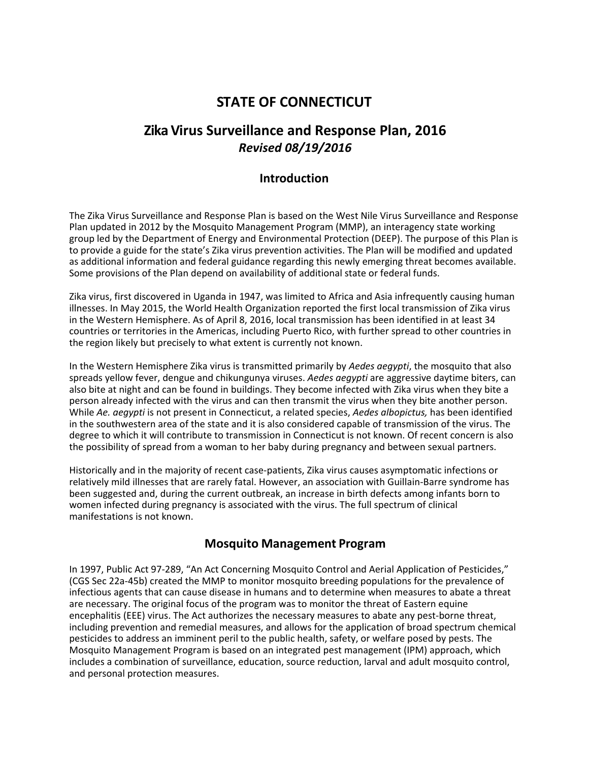# **STATE OF CONNECTICUT**

## **Zika Virus Surveillance and Response Plan, 2016** *Revised 08/19/2016*

## **Introduction**

The Zika Virus Surveillance and Response Plan is based on the West Nile Virus Surveillance and Response Plan updated in 2012 by the Mosquito Management Program (MMP), an interagency state working group led by the Department of Energy and Environmental Protection (DEEP). The purpose of this Plan is to provide a guide for the state's Zika virus prevention activities. The Plan will be modified and updated as additional information and federal guidance regarding this newly emerging threat becomes available. Some provisions of the Plan depend on availability of additional state or federal funds.

Zika virus, first discovered in Uganda in 1947, was limited to Africa and Asia infrequently causing human illnesses. In May 2015, the World Health Organization reported the first local transmission of Zika virus in the Western Hemisphere. As of April 8, 2016, local transmission has been identified in at least 34 countries or territories in the Americas, including Puerto Rico, with further spread to other countries in the region likely but precisely to what extent is currently not known.

In the Western Hemisphere Zika virus is transmitted primarily by *Aedes aegypti*, the mosquito that also spreads yellow fever, dengue and chikungunya viruses. *Aedes aegypti* are aggressive daytime biters, can also bite at night and can be found in buildings. They become infected with Zika virus when they bite a person already infected with the virus and can then transmit the virus when they bite another person. While *Ae. aegypti* is not present in Connecticut, a related species, *Aedes albopictus,* has been identified in the southwestern area of the state and it is also considered capable of transmission of the virus. The degree to which it will contribute to transmission in Connecticut is not known. Of recent concern is also the possibility of spread from a woman to her baby during pregnancy and between sexual partners.

Historically and in the majority of recent case‐patients, Zika virus causes asymptomatic infections or relatively mild illnesses that are rarely fatal. However, an association with Guillain-Barre syndrome has been suggested and, during the current outbreak, an increase in birth defects among infants born to women infected during pregnancy is associated with the virus. The full spectrum of clinical manifestations is not known.

### **Mosquito Management Program**

In 1997, Public Act 97‐289, "An Act Concerning Mosquito Control and Aerial Application of Pesticides," (CGS Sec 22a‐45b) created the MMP to monitor mosquito breeding populations for the prevalence of infectious agents that can cause disease in humans and to determine when measures to abate a threat are necessary. The original focus of the program was to monitor the threat of Eastern equine encephalitis (EEE) virus. The Act authorizes the necessary measures to abate any pest-borne threat, including prevention and remedial measures, and allows for the application of broad spectrum chemical pesticides to address an imminent peril to the public health, safety, or welfare posed by pests. The Mosquito Management Program is based on an integrated pest management (IPM) approach, which includes a combination of surveillance, education, source reduction, larval and adult mosquito control, and personal protection measures.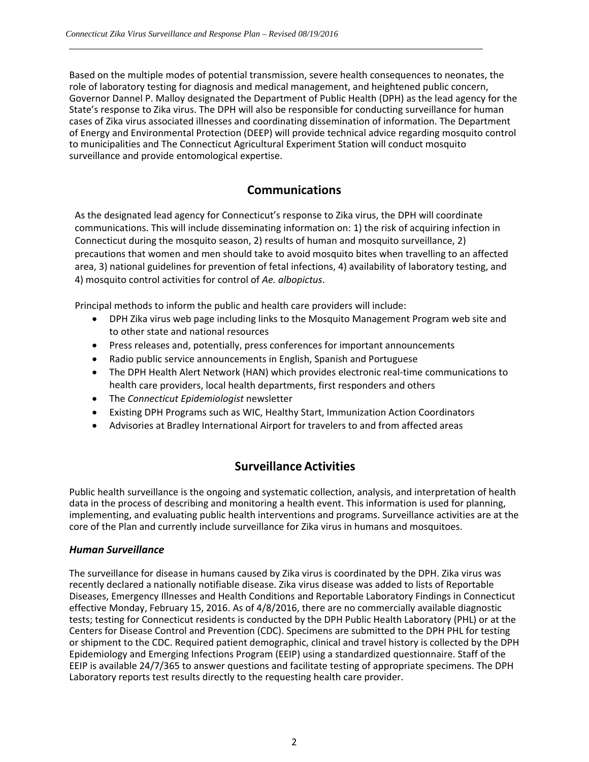Based on the multiple modes of potential transmission, severe health consequences to neonates, the role of laboratory testing for diagnosis and medical management, and heightened public concern, Governor Dannel P. Malloy designated the Department of Public Health (DPH) as the lead agency for the State's response to Zika virus. The DPH will also be responsible for conducting surveillance for human cases of Zika virus associated illnesses and coordinating dissemination of information. The Department of Energy and Environmental Protection (DEEP) will provide technical advice regarding mosquito control to municipalities and The Connecticut Agricultural Experiment Station will conduct mosquito surveillance and provide entomological expertise.

## **Communications**

As the designated lead agency for Connecticut's response to Zika virus, the DPH will coordinate communications. This will include disseminating information on: 1) the risk of acquiring infection in Connecticut during the mosquito season, 2) results of human and mosquito surveillance, 2) precautions that women and men should take to avoid mosquito bites when travelling to an affected area, 3) national guidelines for prevention of fetal infections, 4) availability of laboratory testing, and 4) mosquito control activities for control of *Ae. albopictus*.

Principal methods to inform the public and health care providers will include:

- DPH Zika virus web page including links to the Mosquito Management Program web site and to other state and national resources
- Press releases and, potentially, press conferences for important announcements
- Radio public service announcements in English, Spanish and Portuguese
- The DPH Health Alert Network (HAN) which provides electronic real-time communications to health care providers, local health departments, first responders and others
- The *Connecticut Epidemiologist* newsletter
- Existing DPH Programs such as WIC, Healthy Start, Immunization Action Coordinators
- Advisories at Bradley International Airport for travelers to and from affected areas

## **Surveillance Activities**

Public health surveillance is the ongoing and systematic collection, analysis, and interpretation of health data in the process of describing and monitoring a health event. This information is used for planning, implementing, and evaluating public health interventions and programs. Surveillance activities are at the core of the Plan and currently include surveillance for Zika virus in humans and mosquitoes.

#### *Human Surveillance*

The surveillance for disease in humans caused by Zika virus is coordinated by the DPH. Zika virus was recently declared a nationally notifiable disease. Zika virus disease was added to lists of Reportable Diseases, Emergency Illnesses and Health Conditions and Reportable Laboratory Findings in Connecticut effective Monday, February 15, 2016. As of 4/8/2016, there are no commercially available diagnostic tests; testing for Connecticut residents is conducted by the DPH Public Health Laboratory (PHL) or at the Centers for Disease Control and Prevention (CDC). Specimens are submitted to the DPH PHL for testing or shipment to the CDC. Required patient demographic, clinical and travel history is collected by the DPH Epidemiology and Emerging Infections Program (EEIP) using a standardized questionnaire. Staff of the EEIP is available 24/7/365 to answer questions and facilitate testing of appropriate specimens. The DPH Laboratory reports test results directly to the requesting health care provider.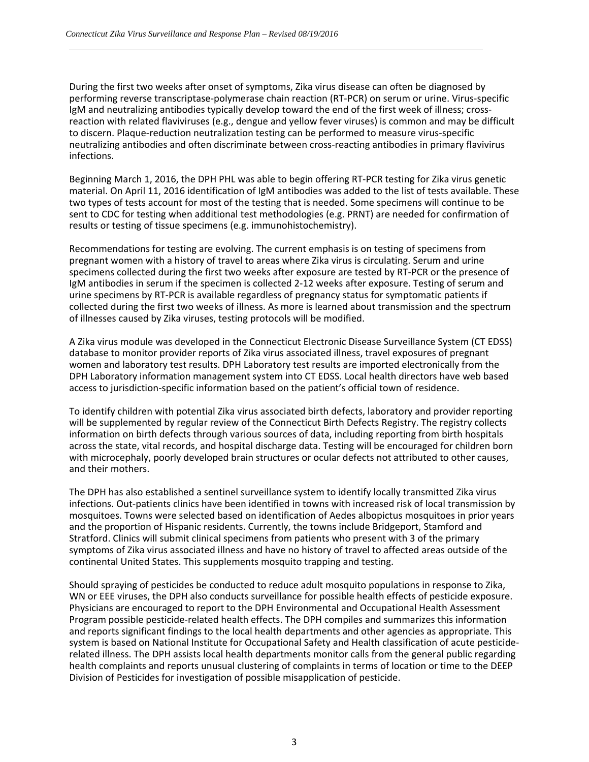During the first two weeks after onset of symptoms, Zika virus disease can often be diagnosed by performing reverse transcriptase‐polymerase chain reaction (RT‐PCR) on serum or urine. Virus‐specific IgM and neutralizing antibodies typically develop toward the end of the first week of illness; crossreaction with related flaviviruses (e.g., dengue and yellow fever viruses) is common and may be difficult to discern. Plaque-reduction neutralization testing can be performed to measure virus-specific neutralizing antibodies and often discriminate between cross-reacting antibodies in primary flavivirus infections.

Beginning March 1, 2016, the DPH PHL was able to begin offering RT‐PCR testing for Zika virus genetic material. On April 11, 2016 identification of IgM antibodies was added to the list of tests available. These two types of tests account for most of the testing that is needed. Some specimens will continue to be sent to CDC for testing when additional test methodologies (e.g. PRNT) are needed for confirmation of results or testing of tissue specimens (e.g. immunohistochemistry).

Recommendations for testing are evolving. The current emphasis is on testing of specimens from pregnant women with a history of travel to areas where Zika virus is circulating. Serum and urine specimens collected during the first two weeks after exposure are tested by RT‐PCR or the presence of IgM antibodies in serum if the specimen is collected 2‐12 weeks after exposure. Testing of serum and urine specimens by RT‐PCR is available regardless of pregnancy status for symptomatic patients if collected during the first two weeks of illness. As more is learned about transmission and the spectrum of illnesses caused by Zika viruses, testing protocols will be modified.

A Zika virus module was developed in the Connecticut Electronic Disease Surveillance System (CT EDSS) database to monitor provider reports of Zika virus associated illness, travel exposures of pregnant women and laboratory test results. DPH Laboratory test results are imported electronically from the DPH Laboratory information management system into CT EDSS. Local health directors have web based access to jurisdiction‐specific information based on the patient's official town of residence.

To identify children with potential Zika virus associated birth defects, laboratory and provider reporting will be supplemented by regular review of the Connecticut Birth Defects Registry. The registry collects information on birth defects through various sources of data, including reporting from birth hospitals across the state, vital records, and hospital discharge data. Testing will be encouraged for children born with microcephaly, poorly developed brain structures or ocular defects not attributed to other causes, and their mothers.

The DPH has also established a sentinel surveillance system to identify locally transmitted Zika virus infections. Out‐patients clinics have been identified in towns with increased risk of local transmission by mosquitoes. Towns were selected based on identification of Aedes albopictus mosquitoes in prior years and the proportion of Hispanic residents. Currently, the towns include Bridgeport, Stamford and Stratford. Clinics will submit clinical specimens from patients who present with 3 of the primary symptoms of Zika virus associated illness and have no history of travel to affected areas outside of the continental United States. This supplements mosquito trapping and testing.

Should spraying of pesticides be conducted to reduce adult mosquito populations in response to Zika, WN or EEE viruses, the DPH also conducts surveillance for possible health effects of pesticide exposure. Physicians are encouraged to report to the DPH Environmental and Occupational Health Assessment Program possible pesticide‐related health effects. The DPH compiles and summarizes this information and reports significant findings to the local health departments and other agencies as appropriate. This system is based on National Institute for Occupational Safety and Health classification of acute pesticide‐ related illness. The DPH assists local health departments monitor calls from the general public regarding health complaints and reports unusual clustering of complaints in terms of location or time to the DEEP Division of Pesticides for investigation of possible misapplication of pesticide.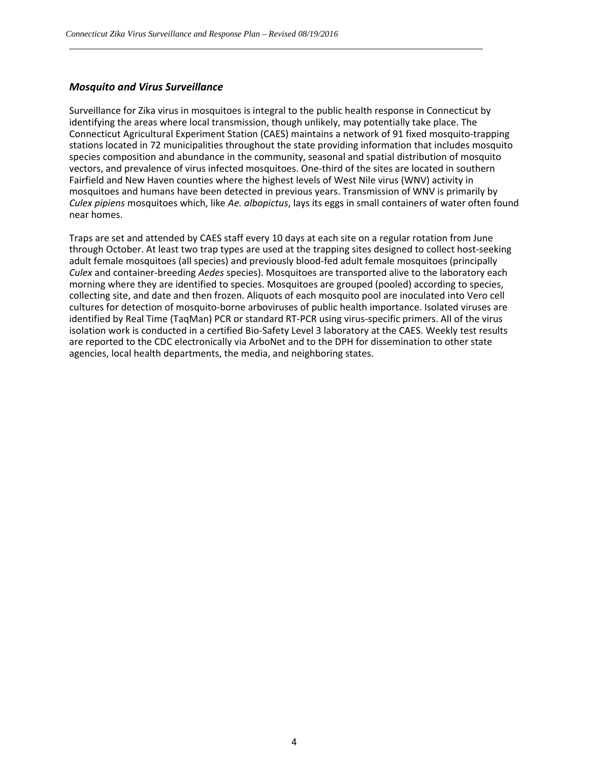#### *Mosquito and Virus Surveillance*

Surveillance for Zika virus in mosquitoes is integral to the public health response in Connecticut by identifying the areas where local transmission, though unlikely, may potentially take place. The Connecticut Agricultural Experiment Station (CAES) maintains a network of 91 fixed mosquito‐trapping stations located in 72 municipalities throughout the state providing information that includes mosquito species composition and abundance in the community, seasonal and spatial distribution of mosquito vectors, and prevalence of virus infected mosquitoes. One‐third of the sites are located in southern Fairfield and New Haven counties where the highest levels of West Nile virus (WNV) activity in mosquitoes and humans have been detected in previous years. Transmission of WNV is primarily by *Culex pipiens* mosquitoes which, like *Ae. albopictus*, lays its eggs in small containers of water often found near homes.

Traps are set and attended by CAES staff every 10 days at each site on a regular rotation from June through October. At least two trap types are used at the trapping sites designed to collect host‐seeking adult female mosquitoes (all species) and previously blood-fed adult female mosquitoes (principally *Culex* and container‐breeding *Aedes* species). Mosquitoes are transported alive to the laboratory each morning where they are identified to species. Mosquitoes are grouped (pooled) according to species, collecting site, and date and then frozen. Aliquots of each mosquito pool are inoculated into Vero cell cultures for detection of mosquito‐borne arboviruses of public health importance. Isolated viruses are identified by Real Time (TaqMan) PCR or standard RT‐PCR using virus‐specific primers. All of the virus isolation work is conducted in a certified Bio-Safety Level 3 laboratory at the CAES. Weekly test results are reported to the CDC electronically via ArboNet and to the DPH for dissemination to other state agencies, local health departments, the media, and neighboring states.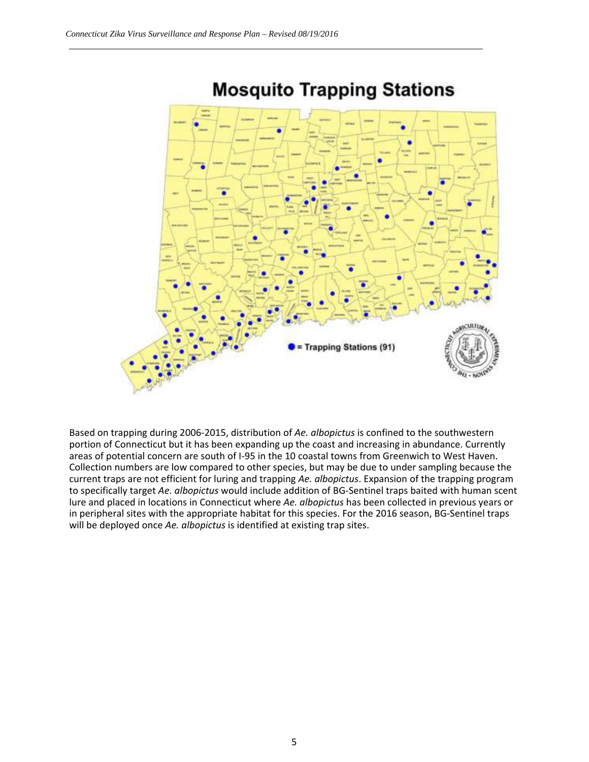

# **Mosquito Trapping Stations**

Based on trapping during 2006‐2015, distribution of *Ae. albopictus* is confined to the southwestern portion of Connecticut but it has been expanding up the coast and increasing in abundance. Currently areas of potential concern are south of I‐95 in the 10 coastal towns from Greenwich to West Haven. Collection numbers are low compared to other species, but may be due to under sampling because the current traps are not efficient for luring and trapping *Ae. albopictus*. Expansion of the trapping program to specifically target *Ae. albopictus* would include addition of BG‐Sentinel traps baited with human scent lure and placed in locations in Connecticut where *Ae. albopictus* has been collected in previous years or in peripheral sites with the appropriate habitat for this species. For the 2016 season, BG‐Sentinel traps will be deployed once *Ae. albopictus* is identified at existing trap sites.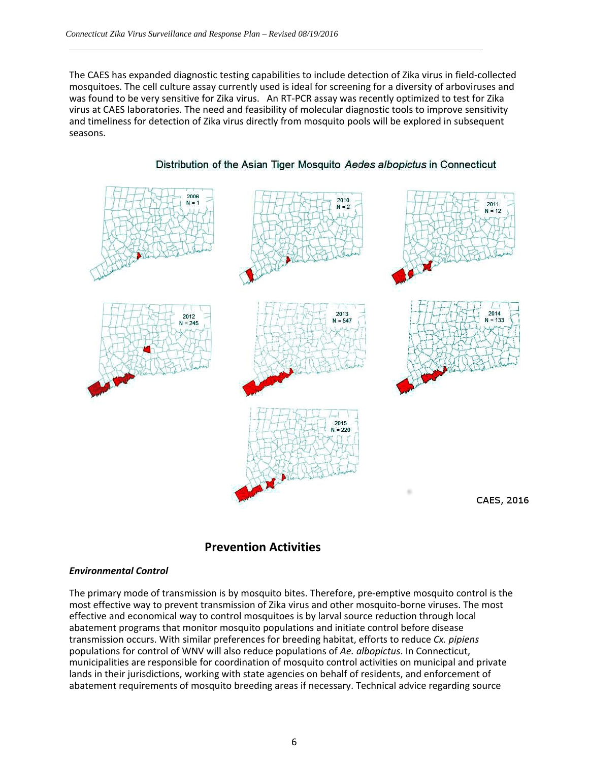The CAES has expanded diagnostic testing capabilities to include detection of Zika virus in field‐collected mosquitoes. The cell culture assay currently used is ideal for screening for a diversity of arboviruses and was found to be very sensitive for Zika virus. An RT-PCR assay was recently optimized to test for Zika virus at CAES laboratories. The need and feasibility of molecular diagnostic tools to improve sensitivity and timeliness for detection of Zika virus directly from mosquito pools will be explored in subsequent seasons.



#### Distribution of the Asian Tiger Mosquito Aedes albopictus in Connecticut

#### **Prevention Activities**

#### *Environmental Control*

The primary mode of transmission is by mosquito bites. Therefore, pre‐emptive mosquito control is the most effective way to prevent transmission of Zika virus and other mosquito-borne viruses. The most effective and economical way to control mosquitoes is by larval source reduction through local abatement programs that monitor mosquito populations and initiate control before disease transmission occurs. With similar preferences for breeding habitat, efforts to reduce *Cx. pipiens* populations for control of WNV will also reduce populations of *Ae. albopictus*. In Connecticut, municipalities are responsible for coordination of mosquito control activities on municipal and private lands in their jurisdictions, working with state agencies on behalf of residents, and enforcement of abatement requirements of mosquito breeding areas if necessary. Technical advice regarding source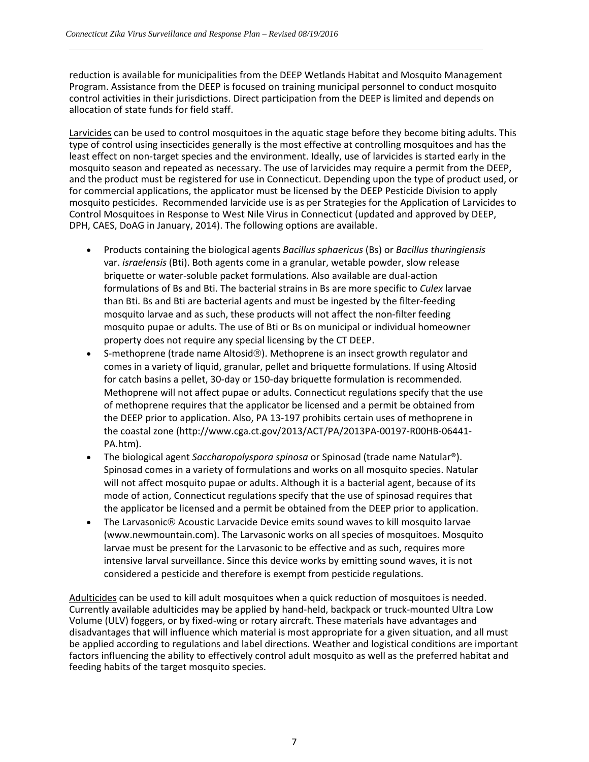reduction is available for municipalities from the DEEP Wetlands Habitat and Mosquito Management Program. Assistance from the DEEP is focused on training municipal personnel to conduct mosquito control activities in their jurisdictions. Direct participation from the DEEP is limited and depends on allocation of state funds for field staff.

Larvicides can be used to control mosquitoes in the aquatic stage before they become biting adults. This type of control using insecticides generally is the most effective at controlling mosquitoes and has the least effect on non-target species and the environment. Ideally, use of larvicides is started early in the mosquito season and repeated as necessary. The use of larvicides may require a permit from the DEEP, and the product must be registered for use in Connecticut. Depending upon the type of product used, or for commercial applications, the applicator must be licensed by the DEEP Pesticide Division to apply mosquito pesticides. Recommended larvicide use is as per Strategies for the Application of Larvicides to Control Mosquitoes in Response to West Nile Virus in Connecticut (updated and approved by DEEP, DPH, CAES, DoAG in January, 2014). The following options are available.

- Products containing the biological agents *Bacillus sphaericus* (Bs) or *Bacillus thuringiensis* var. *israelensis* (Bti). Both agents come in a granular, wetable powder, slow release briquette or water‐soluble packet formulations. Also available are dual‐action formulations of Bs and Bti. The bacterial strains in Bs are more specific to *Culex* larvae than Bti. Bs and Bti are bacterial agents and must be ingested by the filter‐feeding mosquito larvae and as such, these products will not affect the non‐filter feeding mosquito pupae or adults. The use of Bti or Bs on municipal or individual homeowner property does not require any special licensing by the CT DEEP.
- S-methoprene (trade name Altosid®). Methoprene is an insect growth regulator and comes in a variety of liquid, granular, pellet and briquette formulations. If using Altosid for catch basins a pellet, 30‐day or 150‐day briquette formulation is recommended. Methoprene will not affect pupae or adults. Connecticut regulations specify that the use of methoprene requires that the applicator be licensed and a permit be obtained from the DEEP prior to application. Also, PA 13‐197 prohibits certain uses of methoprene in the coastal zone (http://www.cga.ct.gov/2013/ACT/PA/2013PA‐00197‐R00HB‐06441‐ PA.htm).
- The biological agent *Saccharopolyspora spinosa* or Spinosad (trade name Natular®). Spinosad comes in a variety of formulations and works on all mosquito species. Natular will not affect mosquito pupae or adults. Although it is a bacterial agent, because of its mode of action, Connecticut regulations specify that the use of spinosad requires that the applicator be licensed and a permit be obtained from the DEEP prior to application.
- The Larvasonic<sup>®</sup> Acoustic Larvacide Device emits sound waves to kill mosquito larvae (www.newmountain.com). The Larvasonic works on all species of mosquitoes. Mosquito larvae must be present for the Larvasonic to be effective and as such, requires more intensive larval surveillance. Since this device works by emitting sound waves, it is not considered a pesticide and therefore is exempt from pesticide regulations.

Adulticides can be used to kill adult mosquitoes when a quick reduction of mosquitoes is needed. Currently available adulticides may be applied by hand‐held, backpack or truck‐mounted Ultra Low Volume (ULV) foggers, or by fixed‐wing or rotary aircraft. These materials have advantages and disadvantages that will influence which material is most appropriate for a given situation, and all must be applied according to regulations and label directions. Weather and logistical conditions are important factors influencing the ability to effectively control adult mosquito as well as the preferred habitat and feeding habits of the target mosquito species.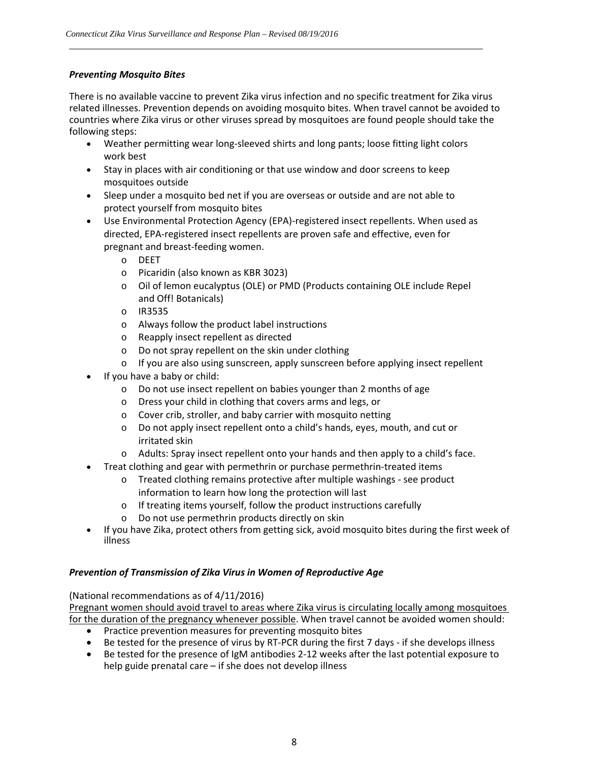#### *Preventing Mosquito Bites*

There is no available vaccine to prevent Zika virus infection and no specific treatment for Zika virus related illnesses. Prevention depends on avoiding mosquito bites. When travel cannot be avoided to countries where Zika virus or other viruses spread by mosquitoes are found people should take the following steps:

- Weather permitting wear long-sleeved shirts and long pants; loose fitting light colors work best
- Stay in places with air conditioning or that use window and door screens to keep mosquitoes outside
- Sleep under a mosquito bed net if you are overseas or outside and are not able to protect yourself from mosquito bites
- Use Environmental Protection Agency (EPA)‐registered insect repellents. When used as directed, EPA‐registered insect repellents are proven safe and effective, even for pregnant and breast‐feeding women.
	- o DEET
	- o Picaridin (also known as KBR 3023)
	- o Oil of lemon eucalyptus (OLE) or PMD (Products containing OLE include Repel and Off! Botanicals)
	- o IR3535
	- o Always follow the product label instructions
	- o Reapply insect repellent as directed
	- o Do not spray repellent on the skin under clothing
	- $\circ$  If you are also using sunscreen, apply sunscreen before applying insect repellent
- If you have a baby or child:
	- o Do not use insect repellent on babies younger than 2 months of age
	- o Dress your child in clothing that covers arms and legs, or
	- o Cover crib, stroller, and baby carrier with mosquito netting
	- o Do not apply insect repellent onto a child's hands, eyes, mouth, and cut or irritated skin
	- o Adults: Spray insect repellent onto your hands and then apply to a child's face.
- Treat clothing and gear with permethrin or purchase permethrin‐treated items
	- o Treated clothing remains protective after multiple washings ‐ see product information to learn how long the protection will last
	- o If treating items yourself, follow the product instructions carefully
	- o Do not use permethrin products directly on skin
- If you have Zika, protect others from getting sick, avoid mosquito bites during the first week of illness

#### *Prevention of Transmission of Zika Virus in Women of Reproductive Age*

(National recommendations as of 4/11/2016)

Pregnant women should avoid travel to areas where Zika virus is circulating locally among mosquitoes for the duration of the pregnancy whenever possible. When travel cannot be avoided women should:

- Practice prevention measures for preventing mosquito bites
- Be tested for the presence of virus by RT-PCR during the first 7 days if she develops illness
- Be tested for the presence of IgM antibodies 2-12 weeks after the last potential exposure to help guide prenatal care – if she does not develop illness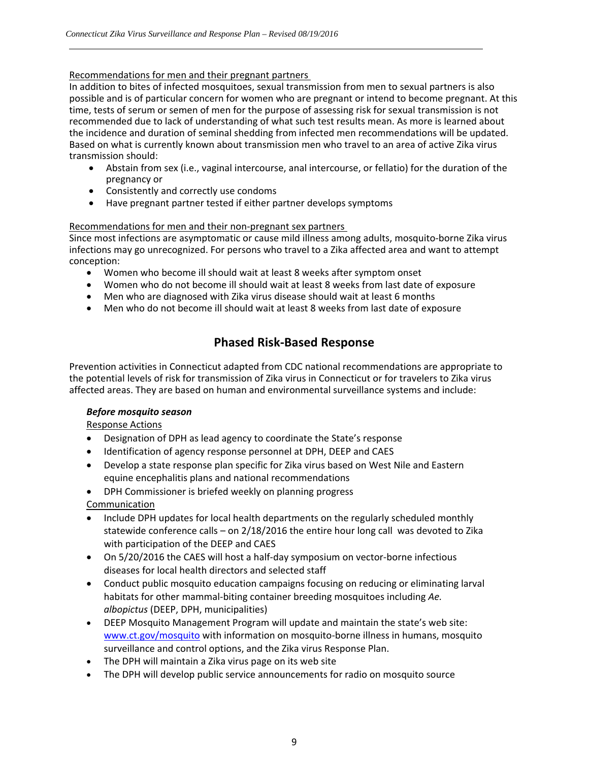#### Recommendations for men and their pregnant partners

In addition to bites of infected mosquitoes, sexual transmission from men to sexual partners is also possible and is of particular concern for women who are pregnant or intend to become pregnant. At this time, tests of serum or semen of men for the purpose of assessing risk for sexual transmission is not recommended due to lack of understanding of what such test results mean. As more is learned about the incidence and duration of seminal shedding from infected men recommendations will be updated. Based on what is currently known about transmission men who travel to an area of active Zika virus transmission should:

- Abstain from sex (i.e., vaginal intercourse, anal intercourse, or fellatio) for the duration of the pregnancy or
- Consistently and correctly use condoms
- Have pregnant partner tested if either partner develops symptoms

#### Recommendations for men and their non‐pregnant sex partners

Since most infections are asymptomatic or cause mild illness among adults, mosquito‐borne Zika virus infections may go unrecognized. For persons who travel to a Zika affected area and want to attempt conception:

- Women who become ill should wait at least 8 weeks after symptom onset
- Women who do not become ill should wait at least 8 weeks from last date of exposure
- Men who are diagnosed with Zika virus disease should wait at least 6 months
- Men who do not become ill should wait at least 8 weeks from last date of exposure

## **Phased Risk‐Based Response**

Prevention activities in Connecticut adapted from CDC national recommendations are appropriate to the potential levels of risk for transmission of Zika virus in Connecticut or for travelers to Zika virus affected areas. They are based on human and environmental surveillance systems and include:

#### *Before mosquito season*

Response Actions

- Designation of DPH as lead agency to coordinate the State's response
- Identification of agency response personnel at DPH, DEEP and CAES
- Develop a state response plan specific for Zika virus based on West Nile and Eastern equine encephalitis plans and national recommendations
- DPH Commissioner is briefed weekly on planning progress

Communication

- Include DPH updates for local health departments on the regularly scheduled monthly statewide conference calls – on 2/18/2016 the entire hour long call was devoted to Zika with participation of the DEEP and CAES
- On 5/20/2016 the CAES will host a half-day symposium on vector-borne infectious diseases for local health directors and selected staff
- Conduct public mosquito education campaigns focusing on reducing or eliminating larval habitats for other mammal‐biting container breeding mosquitoes including *Ae. albopictus* (DEEP, DPH, municipalities)
- DEEP Mosquito Management Program will update and maintain the state's web site: www.ct.gov/mosquito with information on mosquito-borne illness in humans, mosquito surveillance and control options, and the Zika virus Response Plan.
- The DPH will maintain a Zika virus page on its web site
- The DPH will develop public service announcements for radio on mosquito source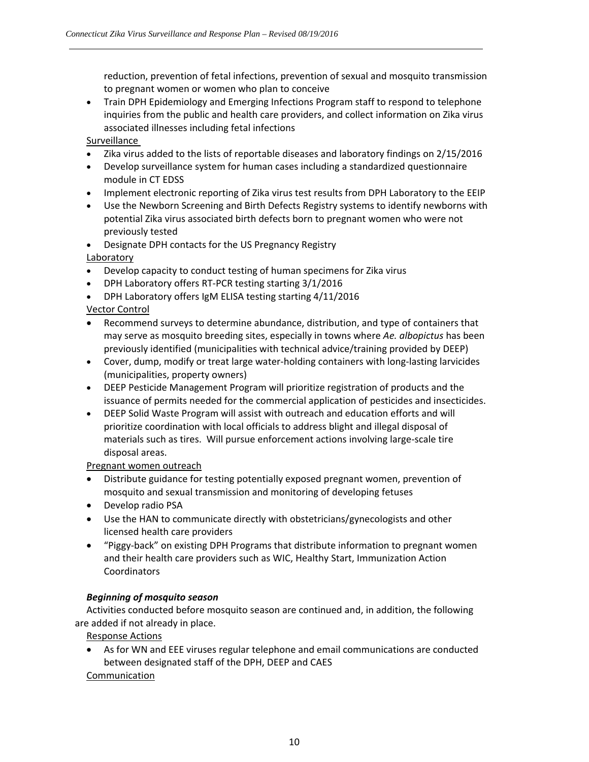reduction, prevention of fetal infections, prevention of sexual and mosquito transmission to pregnant women or women who plan to conceive

 Train DPH Epidemiology and Emerging Infections Program staff to respond to telephone inquiries from the public and health care providers, and collect information on Zika virus associated illnesses including fetal infections

Surveillance

- Zika virus added to the lists of reportable diseases and laboratory findings on 2/15/2016
- Develop surveillance system for human cases including a standardized questionnaire module in CT EDSS
- Implement electronic reporting of Zika virus test results from DPH Laboratory to the EEIP
- Use the Newborn Screening and Birth Defects Registry systems to identify newborns with potential Zika virus associated birth defects born to pregnant women who were not previously tested

 Designate DPH contacts for the US Pregnancy Registry Laboratory

- Develop capacity to conduct testing of human specimens for Zika virus
- DPH Laboratory offers RT‐PCR testing starting 3/1/2016
- DPH Laboratory offers IgM ELISA testing starting 4/11/2016

#### Vector Control

- Recommend surveys to determine abundance, distribution, and type of containers that may serve as mosquito breeding sites, especially in towns where *Ae. albopictus* has been previously identified (municipalities with technical advice/training provided by DEEP)
- Cover, dump, modify or treat large water‐holding containers with long‐lasting larvicides (municipalities, property owners)
- DEEP Pesticide Management Program will prioritize registration of products and the issuance of permits needed for the commercial application of pesticides and insecticides.
- DEEP Solid Waste Program will assist with outreach and education efforts and will prioritize coordination with local officials to address blight and illegal disposal of materials such as tires. Will pursue enforcement actions involving large‐scale tire disposal areas.

#### Pregnant women outreach

- Distribute guidance for testing potentially exposed pregnant women, prevention of mosquito and sexual transmission and monitoring of developing fetuses
- Develop radio PSA
- Use the HAN to communicate directly with obstetricians/gynecologists and other licensed health care providers
- "Piggy-back" on existing DPH Programs that distribute information to pregnant women and their health care providers such as WIC, Healthy Start, Immunization Action Coordinators

#### *Beginning of mosquito season*

Activities conducted before mosquito season are continued and, in addition, the following are added if not already in place.

Response Actions

 As for WN and EEE viruses regular telephone and email communications are conducted between designated staff of the DPH, DEEP and CAES Communication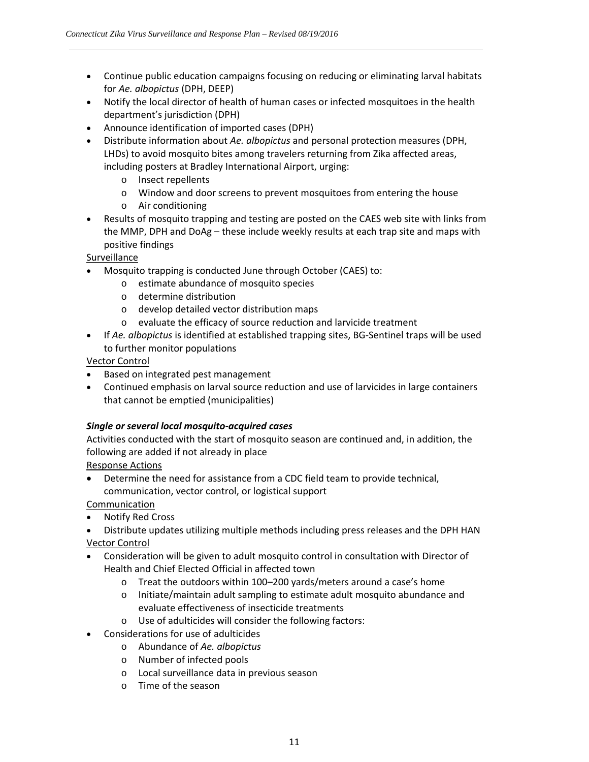- Continue public education campaigns focusing on reducing or eliminating larval habitats for *Ae. albopictus* (DPH, DEEP)
- Notify the local director of health of human cases or infected mosquitoes in the health department's jurisdiction (DPH)
- Announce identification of imported cases (DPH)
- Distribute information about *Ae. albopictus* and personal protection measures (DPH, LHDs) to avoid mosquito bites among travelers returning from Zika affected areas, including posters at Bradley International Airport, urging:
	- o Insect repellents
	- o Window and door screens to prevent mosquitoes from entering the house
	- o Air conditioning
- Results of mosquito trapping and testing are posted on the CAES web site with links from the MMP, DPH and DoAg – these include weekly results at each trap site and maps with positive findings

Surveillance

- Mosquito trapping is conducted June through October (CAES) to:
	- o estimate abundance of mosquito species
	- o determine distribution
	- o develop detailed vector distribution maps
	- o evaluate the efficacy of source reduction and larvicide treatment
- If *Ae. albopictus* is identified at established trapping sites, BG-Sentinel traps will be used to further monitor populations

Vector Control

- Based on integrated pest management
- Continued emphasis on larval source reduction and use of larvicides in large containers that cannot be emptied (municipalities)

#### *Single or several local mosquito‐acquired cases*

Activities conducted with the start of mosquito season are continued and, in addition, the following are added if not already in place

Response Actions

 Determine the need for assistance from a CDC field team to provide technical, communication, vector control, or logistical support

Communication

- Notify Red Cross
- Distribute updates utilizing multiple methods including press releases and the DPH HAN Vector Control
- Consideration will be given to adult mosquito control in consultation with Director of Health and Chief Elected Official in affected town
	- o Treat the outdoors within 100–200 yards/meters around a case's home
	- o Initiate/maintain adult sampling to estimate adult mosquito abundance and evaluate effectiveness of insecticide treatments
	- o Use of adulticides will consider the following factors:
- Considerations for use of adulticides
	- o Abundance of *Ae. albopictus*
	- o Number of infected pools
	- o Local surveillance data in previous season
	- o Time of the season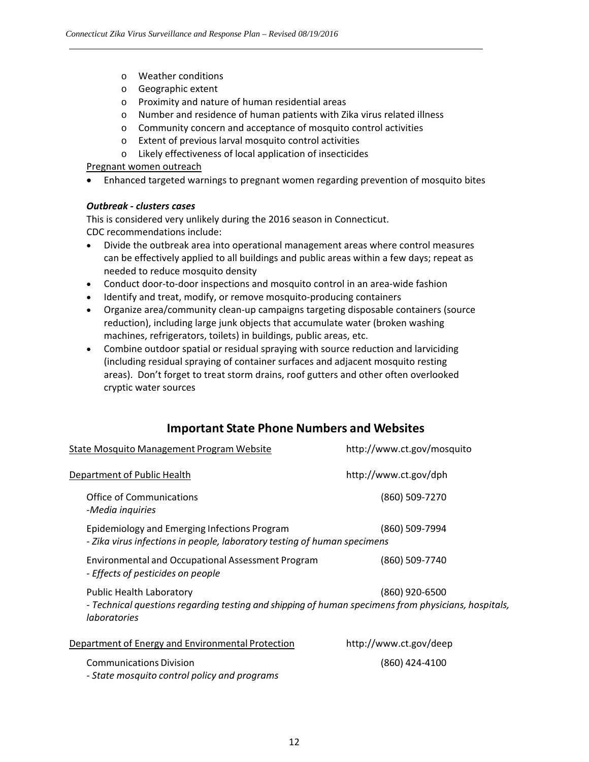- o Weather conditions
- o Geographic extent
- o Proximity and nature of human residential areas
- o Number and residence of human patients with Zika virus related illness
- o Community concern and acceptance of mosquito control activities
- o Extent of previous larval mosquito control activities
- o Likely effectiveness of local application of insecticides

#### Pregnant women outreach

Enhanced targeted warnings to pregnant women regarding prevention of mosquito bites

#### *Outbreak ‐ clusters cases*

This is considered very unlikely during the 2016 season in Connecticut. CDC recommendations include:

- Divide the outbreak area into operational management areas where control measures can be effectively applied to all buildings and public areas within a few days; repeat as needed to reduce mosquito density
- Conduct door-to-door inspections and mosquito control in an area-wide fashion
- Identify and treat, modify, or remove mosquito-producing containers
- Organize area/community clean‐up campaigns targeting disposable containers (source reduction), including large junk objects that accumulate water (broken washing machines, refrigerators, toilets) in buildings, public areas, etc.
- Combine outdoor spatial or residual spraying with source reduction and larviciding (including residual spraying of container surfaces and adjacent mosquito resting areas). Don't forget to treat storm drains, roof gutters and other often overlooked cryptic water sources

## **Important State Phone Numbers and Websites**

| <b>State Mosquito Management Program Website</b>                                                                                                              | http://www.ct.gov/mosquito |
|---------------------------------------------------------------------------------------------------------------------------------------------------------------|----------------------------|
| Department of Public Health                                                                                                                                   | http://www.ct.gov/dph      |
| Office of Communications<br>-Media inquiries                                                                                                                  | (860) 509-7270             |
| Epidemiology and Emerging Infections Program<br>- Zika virus infections in people, laboratory testing of human specimens                                      | (860) 509-7994             |
| <b>Environmental and Occupational Assessment Program</b><br>- Effects of pesticides on people                                                                 | (860) 509-7740             |
| <b>Public Health Laboratory</b><br>- Technical questions regarding testing and shipping of human specimens from physicians, hospitals,<br><i>laboratories</i> | (860) 920-6500             |
| Department of Energy and Environmental Protection                                                                                                             | http://www.ct.gov/deep     |
| <b>Communications Division</b><br>- State mosquito control policy and programs                                                                                | (860) 424-4100             |